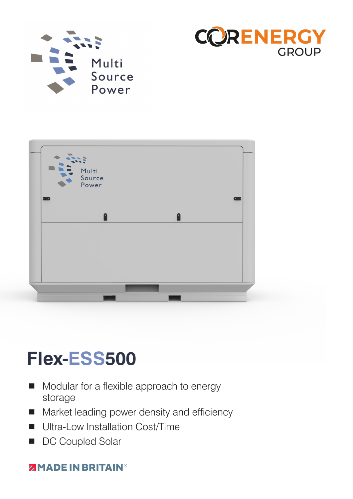





# **Flex-ESS500**

- Modular for a flexible approach to energy storage
- **Market leading power density and efficiency**
- **Ultra-Low Installation Cost/Time**
- DC Coupled Solar

### **ZIMADE IN BRITAIN®**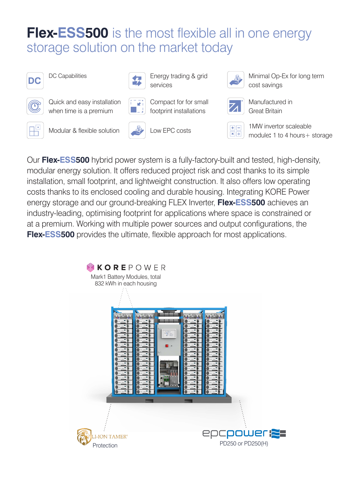### **Flex-ESS500** is the most flexible all in one energy storage solution on the market today

services



DC Capabilities Energy trading & grid



Quick and easy installation when time is a premium



Compact for for small footprint installations



Minimal Op-Ex for long term cost savings







Manufactured in Great Britain



Modular & flexible solution Low EPC costs 1MW invertor scaleable

module**:** 1 to 4 hours+ storage

Our **Flex-ESS500** hybrid power system is a fully-factory-built and tested, high-density, modular energy solution. It offers reduced project risk and cost thanks to its simple installation, small footprint, and lightweight construction. It also offers low operating costs thanks to its enclosed cooling and durable housing. Integrating KORE Power energy storage and our ground-breaking FLEX Inverter, **Flex-ESS500** achieves an industry-leading, optimising footprint for applications where space is constrained or at a premium. Working with multiple power sources and output configurations, the **Flex-ESS500** provides the ultimate, flexible approach for most applications.

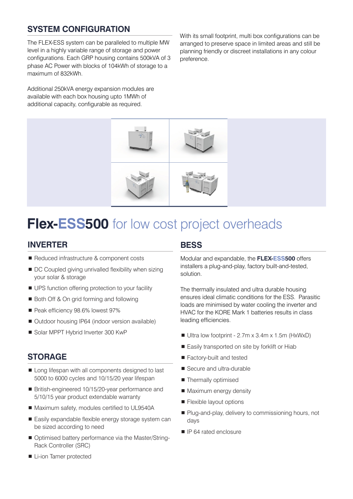### **SYSTEM CONFIGURATION**

The FLEX-ESS system can be paralleled to multiple MW level in a highly variable range of storage and power configurations. Each GRP housing contains 500kVA of 3 phase AC Power with blocks of 104kWh of storage to a maximum of 832kWh.

Additional 250kVA energy expansion modules are available with each box housing upto 1MWh of additional capacity, configurable as required.

With its small footprint, multi box configurations can be arranged to preserve space in limited areas and still be planning friendly or discreet installations in any colour preference.



### **Flex-ESS500** for low cost project overheads

#### **INVERTER**

- Reduced infrastructure & component costs
- DC Coupled giving unrivalled flexibility when sizing your solar & storage
- UPS function offering protection to your facility
- Both Off & On grid forming and following
- Peak efficiency 98.6% lowest 97%
- Outdoor housing IP64 (indoor version available)
- Solar MPPT Hybrid Inverter 300 KwP

#### **STORAGE**

- Long lifespan with all components designed to last 5000 to 6000 cycles and 10/15/20 year lifespan
- British-engineered 10/15/20-year performance and 5/10/15 year product extendable warranty
- Maximum safety, modules certified to UL9540A
- Easily expandable flexible energy storage system can be sized according to need
- Optimised battery performance via the Master/String-Rack Controller (SRC)

#### **Li-ion Tamer protected**

#### **BESS**

Modular and expandable, the **FLEX-ESS500** offers installers a plug-and-play, factory built-and-tested, solution.

The thermally insulated and ultra durable housing ensures ideal climatic conditions for the ESS. Parasitic loads are minimised by water cooling the inverter and HVAC for the KORE Mark 1 batteries results in class leading efficiencies.

- $\blacksquare$  Ultra low footprint 2.7m x 3.4m x 1.5m (HxWxD)
- Easily transported on site by forklift or Hiab
- Factory-built and tested
- Secure and ultra-durable
- Thermally optimised
- Maximum energy density
- **Flexible layout options**
- Plug-and-play, delivery to commissioning hours, not days
- **I** IP 64 rated enclosure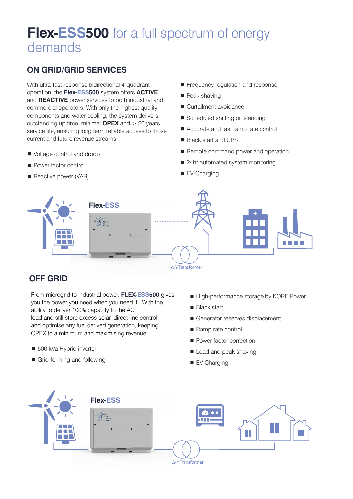### **Flex-ESS500** for a full spectrum of energy demands

### **ON GRID/GRID SERVICES**

With ultra-fast response bidirectional 4-quadrant operation, the **Flex-ESS500** system offers **ACTIVE** and **REACTIVE** power services to both industrial and commercial operators. With only the highest quality components and water cooling, the system delivers outstanding up time, minimal **OPEX** and > 20 years service life, ensuring long term reliable access to those current and future revenue streams.

- Voltage control and droop
- **Power factor control**
- Reactive power (VAR)
- Frequency regulation and response
- Peak shaving
- Curtailment avoidance
- Scheduled shifting or islanding
- Accurate and fast ramp rate control
- Black start and UPS
- Remote command power and operation
- 24hr automated system monitoring
- EV Charging



### **OFF GRID**

From microgrid to industrial power, **FLEX-ESS500** gives you the power you need when you need it. With the ability to deliver 100% capacity to the AC load and still store excess solar, direct line control and optimise any fuel derived generation, keeping OPEX to a minimum and maximising revenue.

- 500 kVa Hybrid inverter
- Grid-forming and following
- High-performance storage by KORE Power
- **Black start**
- Generator reserves displacement
- Ramp rate control
- **Power factor correction**
- Load and peak shaving
- EV Charging

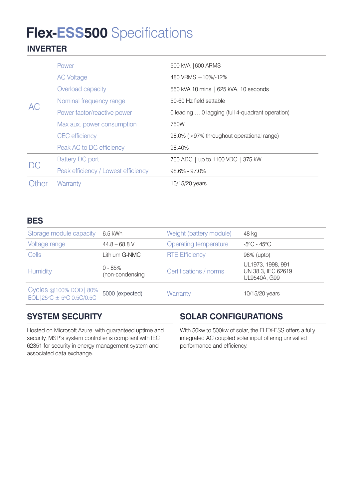## **Flex-ESS500** Specifications

### **INVERTER**

| <b>AC</b> | Power                               | 500 kVA   600 ARMS                               |
|-----------|-------------------------------------|--------------------------------------------------|
|           | <b>AC Voltage</b>                   | 480 VRMS +10%/-12%                               |
|           | Overload capacity                   | 550 kVA 10 mins   625 kVA, 10 seconds            |
|           | Nominal frequency range             | 50-60 Hz field settable                          |
|           | Power factor/reactive power         | 0 leading  0 lagging (full 4-quadrant operation) |
|           | Max aux. power consumption          | 750W                                             |
|           | <b>CEC</b> efficiency               | 98.0% (>97% throughout operational range)        |
|           | Peak AC to DC efficiency            | 98.40%                                           |
| DC        | <b>Battery DC port</b>              | 750 ADC   up to 1100 VDC   375 kW                |
|           | Peak efficiency / Lowest efficiency | $98.6\% - 97.0\%$                                |
| Other     | Warranty                            | 10/15/20 years                                   |

#### **BES**

| Storage module capacity                                              | 6.5 kWh                      | Weight (battery module) | 48 kg                                                   |
|----------------------------------------------------------------------|------------------------------|-------------------------|---------------------------------------------------------|
| Voltage range                                                        | $44.8 - 68.8$ V              | Operating temperature   | -5°C - 45°C                                             |
| <b>Cells</b>                                                         | Lithium G-NMC                | <b>RTE Efficiency</b>   | 98% (upto)                                              |
| <b>Humidity</b>                                                      | $0 - 85%$<br>(non-condensing | Certifications / norms  | UL1973, 1998, 991<br>UN 38.3, IEC 62619<br>UL9540A, G99 |
| Cycles @100% DOD   80%<br>$EOL 25^{\circ}C \pm 5^{\circ}C 0.5C/0.5C$ | 5000 (expected)              | Warranty                | 10/15/20 years                                          |

### **SYSTEM SECURITY**

Hosted on Microsoft Azure, with guaranteed uptime and security, MSP's system controller is compliant with IEC 62351 for security in energy management system and associated data exchange.

### **SOLAR CONFIGURATIONS**

With 50kw to 500kw of solar, the FLEX-ESS offers a fully integrated AC coupled solar input offering unrivalled performance and efficiency.